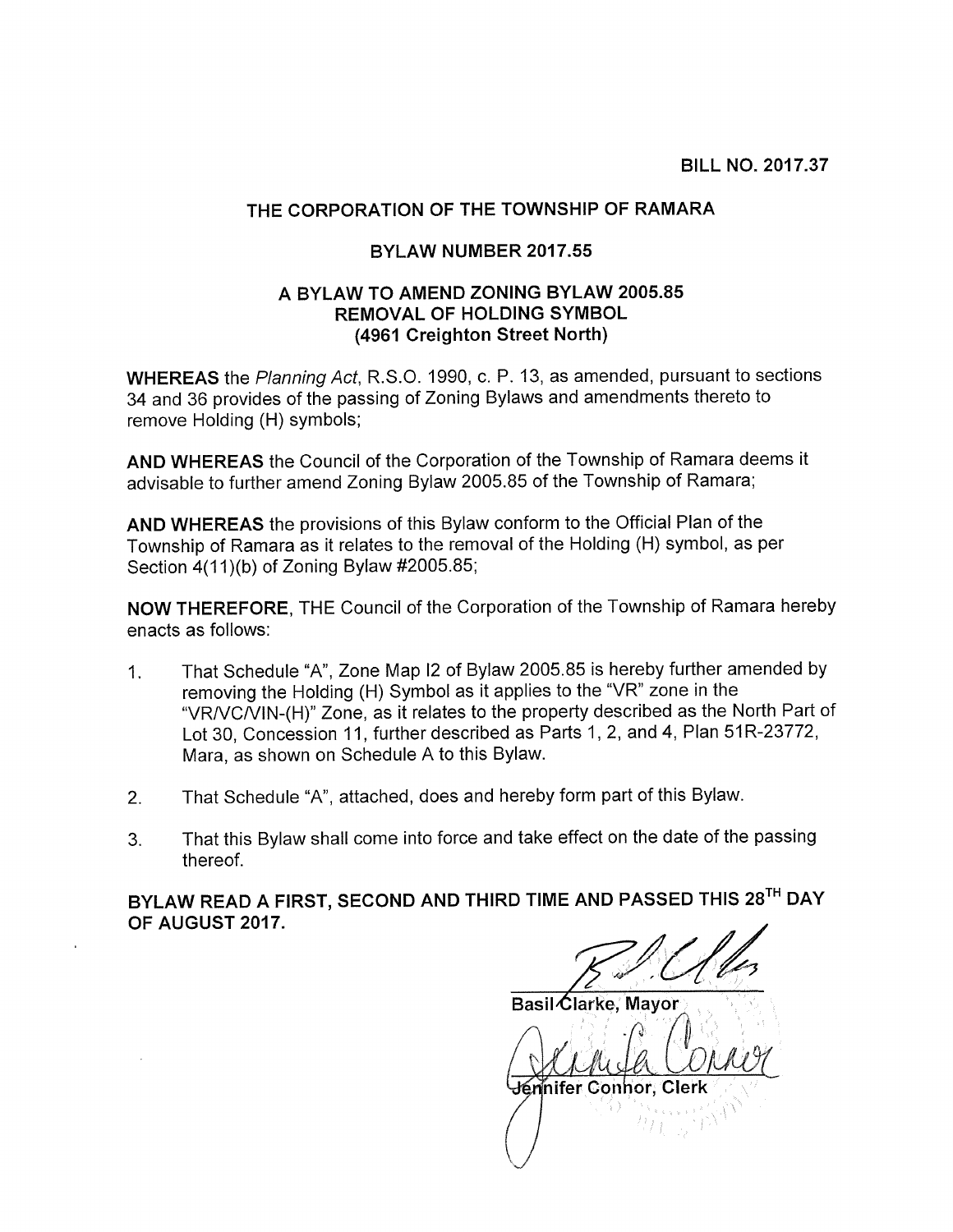BILL NO. 2017.37

## THE CORPORATION OF THE TOWNSHIP OF RAMARA

## BYLAW NUMBER 2017.55

## A BYLAW TO AMEND ZONING BYLAW 2005.85 REMOVAL OF HOLDING SYMBOL (4961 Creighton Street North)

WHEREAS the Planning Act, R.S.O. 1990, c. P. 13, as amended, pursuant to sections 34 and 36 provides of the passing of Zoning Bylaws and amendments thereto to remove Holding (H) symbols;

AND WHEREAS the Council of the Corporation of the Township of Ramara deems it advisable to further amend Zoning Bylaw 2005.85 of the Township of Ramara;

AND WHEREAS the provisions of this Bylaw conform to the Official Plan of the Township of Ramara as it relates to the removal of the Holding (H) symbol, as per Section 4(11)(b) of Zoning Bylaw #2005.85;

NOW THEREFORE, THE Council of the Corporation of the Township of Ramara hereby enacts as follows:

- 1. That Schedule "A", Zone Map <sup>12</sup> of Bylaw 2005.85 is hereby further amended by removing the Holding (H) Symbol as it applies to the "VR" zone in the "VRNCNIN-(H)" Zone, as it relates to the property described as the North Part of Lot 30, Concession 11, further described as Parts 1, 2, and 4, Plan 51R-23772, Mara, as shown on Schedule A to this Bylaw.
- 2. That Schedule "A", attached, does and hereby form part of this Bylaw.
- 3. That this Bylaw shall come into force and take effect on the date of the passing thereof.

BYLAW READ A FIRST, SECOND AND THIRD TIME AND PASSED THIS 28TH DAY OF AUGUST 2017.

Basil Clarke, Mayor Jernifer Connor, Clerk 16